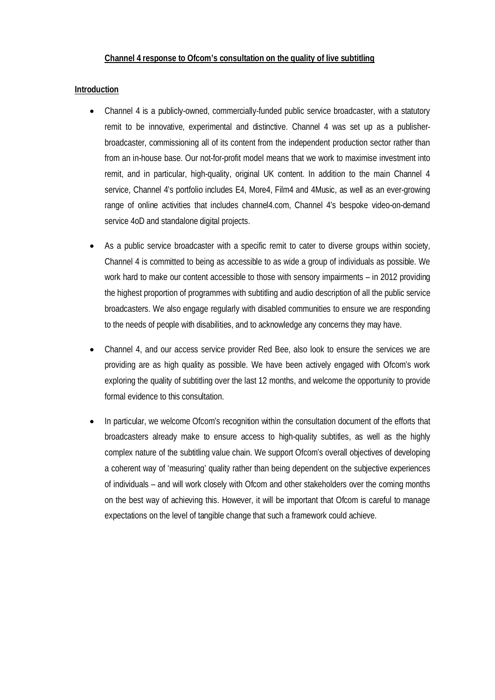## **Introduction**

- Channel 4 is a publicly-owned, commercially-funded public service broadcaster, with a statutory remit to be innovative, experimental and distinctive. Channel 4 was set up as a publisherbroadcaster, commissioning all of its content from the independent production sector rather than from an in-house base. Our not-for-profit model means that we work to maximise investment into remit, and in particular, high-quality, original UK content. In addition to the main Channel 4 service, Channel 4's portfolio includes E4, More4, Film4 and 4Music, as well as an ever-growing range of online activities that includes channel4.com, Channel 4's bespoke video-on-demand service 4oD and standalone digital projects.
- As a public service broadcaster with a specific remit to cater to diverse groups within society, Channel 4 is committed to being as accessible to as wide a group of individuals as possible. We work hard to make our content accessible to those with sensory impairments – in 2012 providing the highest proportion of programmes with subtitling and audio description of all the public service broadcasters. We also engage regularly with disabled communities to ensure we are responding to the needs of people with disabilities, and to acknowledge any concerns they may have.
- Channel 4, and our access service provider Red Bee, also look to ensure the services we are providing are as high quality as possible. We have been actively engaged with Ofcom's work exploring the quality of subtitling over the last 12 months, and welcome the opportunity to provide formal evidence to this consultation.
- In particular, we welcome Ofcom's recognition within the consultation document of the efforts that broadcasters already make to ensure access to high-quality subtitles, as well as the highly complex nature of the subtitling value chain. We support Ofcom's overall objectives of developing a coherent way of 'measuring' quality rather than being dependent on the subjective experiences of individuals – and will work closely with Ofcom and other stakeholders over the coming months on the best way of achieving this. However, it will be important that Ofcom is careful to manage expectations on the level of tangible change that such a framework could achieve.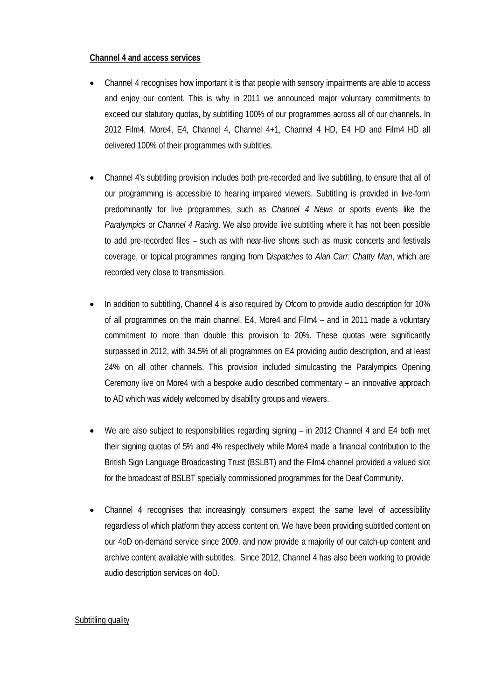#### **Channel 4 and access services**

- Channel 4 recognises how important it is that people with sensory impairments are able to access and enjoy our content. This is why in 2011 we announced major voluntary commitments to exceed our statutory quotas, by subtitling 100% of our programmes across all of our channels. In 2012 Film4, More4, E4, Channel 4, Channel 4+1, Channel 4 HD, E4 HD and Film4 HD all delivered 100% of their programmes with subtitles.
- Channel 4's subtitling provision includes both pre-recorded and live subtitling, to ensure that all of our programming is accessible to hearing impaired viewers. Subtitling is provided in live-form predominantly for live programmes, such as *Channel 4 News* or sports events like the *Paralympics* or *Channel 4 Racing*. We also provide live subtitling where it has not been possible to add pre-recorded files – such as with near-live shows such as music concerts and festivals coverage, or topical programmes ranging from D*ispatches* to *Alan Carr: Chatty Man*, which are recorded very close to transmission.
- In addition to subtitling, Channel 4 is also required by Ofcom to provide audio description for 10% of all programmes on the main channel, E4, More4 and Film4 – and in 2011 made a voluntary commitment to more than double this provision to 20%. These quotas were significantly surpassed in 2012, with 34.5% of all programmes on E4 providing audio description, and at least 24% on all other channels. This provision included simulcasting the Paralympics Opening Ceremony live on More4 with a bespoke audio described commentary – an innovative approach to AD which was widely welcomed by disability groups and viewers.
- We are also subject to responsibilities regarding signing in 2012 Channel 4 and E4 both met their signing quotas of 5% and 4% respectively while More4 made a financial contribution to the British Sign Language Broadcasting Trust (BSLBT) and the Film4 channel provided a valued slot for the broadcast of BSLBT specially commissioned programmes for the Deaf Community.
- Channel 4 recognises that increasingly consumers expect the same level of accessibility regardless of which platform they access content on. We have been providing subtitled content on our 4oD on-demand service since 2009, and now provide a majority of our catch-up content and archive content available with subtitles. Since 2012, Channel 4 has also been working to provide audio description services on 4oD.

#### Subtitling quality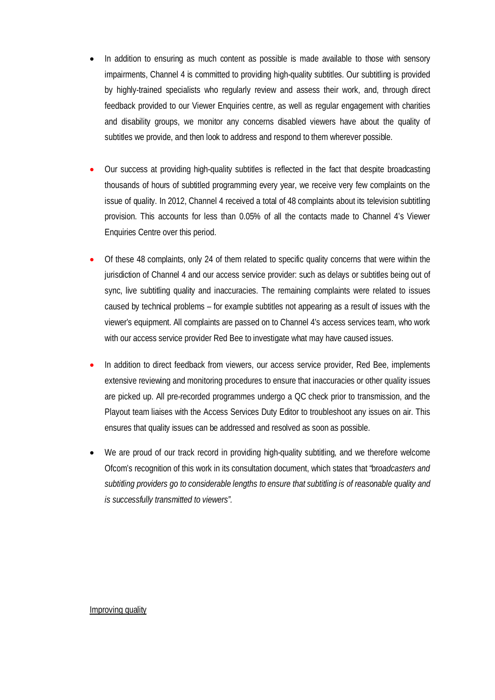- In addition to ensuring as much content as possible is made available to those with sensory impairments, Channel 4 is committed to providing high-quality subtitles. Our subtitling is provided by highly-trained specialists who regularly review and assess their work, and, through direct feedback provided to our Viewer Enquiries centre, as well as regular engagement with charities and disability groups, we monitor any concerns disabled viewers have about the quality of subtitles we provide, and then look to address and respond to them wherever possible.
- Our success at providing high-quality subtitles is reflected in the fact that despite broadcasting thousands of hours of subtitled programming every year, we receive very few complaints on the issue of quality. In 2012, Channel 4 received a total of 48 complaints about its television subtitling provision. This accounts for less than 0.05% of all the contacts made to Channel 4's Viewer Enquiries Centre over this period.
- Of these 48 complaints, only 24 of them related to specific quality concerns that were within the jurisdiction of Channel 4 and our access service provider: such as delays or subtitles being out of sync, live subtitling quality and inaccuracies. The remaining complaints were related to issues caused by technical problems – for example subtitles not appearing as a result of issues with the viewer's equipment. All complaints are passed on to Channel 4's access services team, who work with our access service provider Red Bee to investigate what may have caused issues.
- In addition to direct feedback from viewers, our access service provider, Red Bee, implements extensive reviewing and monitoring procedures to ensure that inaccuracies or other quality issues are picked up. All pre-recorded programmes undergo a QC check prior to transmission, and the Playout team liaises with the Access Services Duty Editor to troubleshoot any issues on air. This ensures that quality issues can be addressed and resolved as soon as possible.
- We are proud of our track record in providing high-quality subtitling, and we therefore welcome Ofcom's recognition of this work in its consultation document, which states that "br*oadcasters and subtitling providers go to considerable lengths to ensure that subtitling is of reasonable quality and is successfully transmitted to viewers".*

#### Improving quality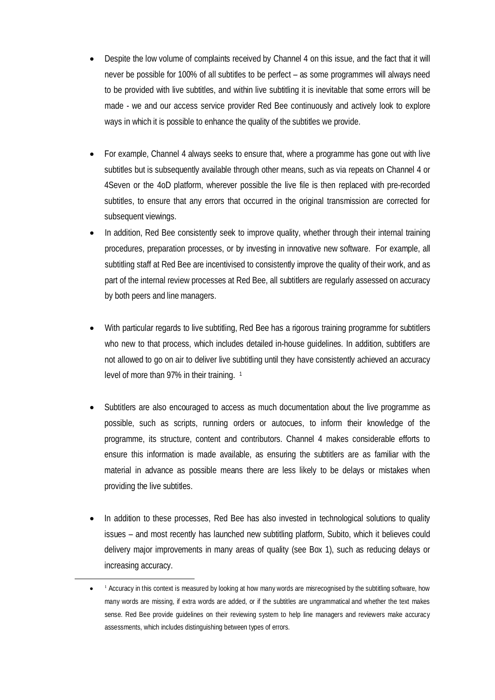- Despite the low volume of complaints received by Channel 4 on this issue, and the fact that it will never be possible for 100% of all subtitles to be perfect – as some programmes will always need to be provided with live subtitles, and within live subtitling it is inevitable that some errors will be made - we and our access service provider Red Bee continuously and actively look to explore ways in which it is possible to enhance the quality of the subtitles we provide.
- For example, Channel 4 always seeks to ensure that, where a programme has gone out with live subtitles but is subsequently available through other means, such as via repeats on Channel 4 or 4Seven or the 4oD platform, wherever possible the live file is then replaced with pre-recorded subtitles, to ensure that any errors that occurred in the original transmission are corrected for subsequent viewings.
- In addition, Red Bee consistently seek to improve quality, whether through their internal training procedures, preparation processes, or by investing in innovative new software. For example, all subtitling staff at Red Bee are incentivised to consistently improve the quality of their work, and as part of the internal review processes at Red Bee, all subtitlers are regularly assessed on accuracy by both peers and line managers.
- With particular regards to live subtitling, Red Bee has a rigorous training programme for subtitlers who new to that process, which includes detailed in-house guidelines. In addition, subtitlers are not allowed to go on air to deliver live subtitling until they have consistently achieved an accuracy level of more than 97% in their training. [1](#page-3-0)
- Subtitlers are also encouraged to access as much documentation about the live programme as possible, such as scripts, running orders or autocues, to inform their knowledge of the programme, its structure, content and contributors. Channel 4 makes considerable efforts to ensure this information is made available, as ensuring the subtitlers are as familiar with the material in advance as possible means there are less likely to be delays or mistakes when providing the live subtitles.
- In addition to these processes, Red Bee has also invested in technological solutions to quality issues – and most recently has launched new subtitling platform, Subito, which it believes could delivery major improvements in many areas of quality (see Box 1), such as reducing delays or increasing accuracy.

<span id="page-3-0"></span>-

<sup>•</sup> <sup>1</sup> Accuracy in this context is measured by looking at how many words are misrecognised by the subtitling software, how many words are missing, if extra words are added, or if the subtitles are ungrammatical and whether the text makes sense. Red Bee provide guidelines on their reviewing system to help line managers and reviewers make accuracy assessments, which includes distinguishing between types of errors.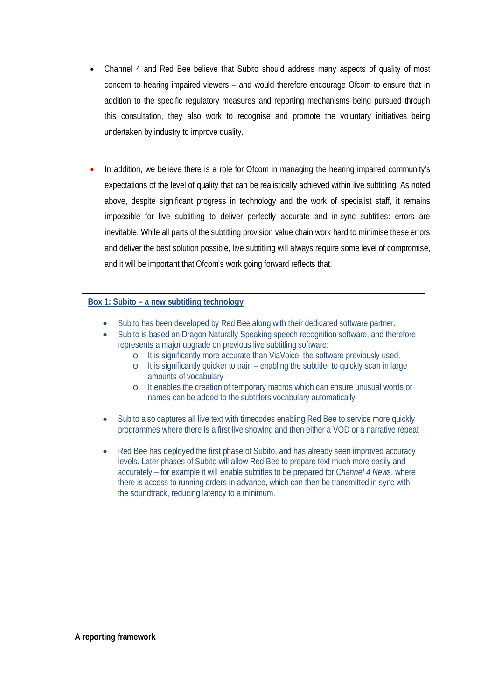- Channel 4 and Red Bee believe that Subito should address many aspects of quality of most concern to hearing impaired viewers – and would therefore encourage Ofcom to ensure that in addition to the specific regulatory measures and reporting mechanisms being pursued through this consultation, they also work to recognise and promote the voluntary initiatives being undertaken by industry to improve quality.
- In addition, we believe there is a role for Ofcom in managing the hearing impaired community's expectations of the level of quality that can be realistically achieved within live subtitling. As noted above, despite significant progress in technology and the work of specialist staff, it remains impossible for live subtitling to deliver perfectly accurate and in-sync subtitles: errors are inevitable. While all parts of the subtitling provision value chain work hard to minimise these errors and deliver the best solution possible, live subtitling will always require some level of compromise, and it will be important that Ofcom's work going forward reflects that.

## **Box 1: Subito – a new subtitling technology**

- Subito has been developed by Red Bee along with their dedicated software partner.
- Subito is based on Dragon Naturally Speaking speech recognition software, and therefore represents a major upgrade on previous live subtitling software:
	- o It is significantly more accurate than ViaVoice, the software previously used.
	- o It is significantly quicker to train enabling the subtitler to quickly scan in large amounts of vocabulary
	- o It enables the creation of temporary macros which can ensure unusual words or names can be added to the subtitlers vocabulary automatically
- Subito also captures all live text with timecodes enabling Red Bee to service more quickly programmes where there is a first live showing and then either a VOD or a narrative repeat
- Red Bee has deployed the first phase of Subito, and has already seen improved accuracy levels. Later phases of Subito will allow Red Bee to prepare text much more easily and accurately – for example it will enable subtitles to be prepared for C*hannel 4 News*, where there is access to running orders in advance, which can then be transmitted in sync with the soundtrack, reducing latency to a minimum.

**A reporting framework**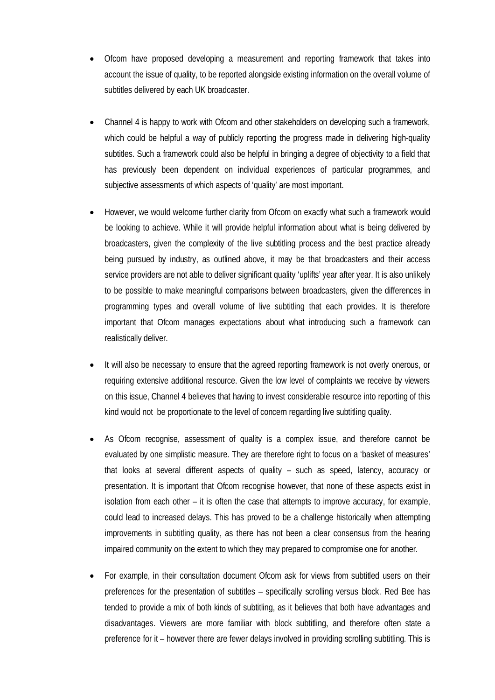- Ofcom have proposed developing a measurement and reporting framework that takes into account the issue of quality, to be reported alongside existing information on the overall volume of subtitles delivered by each UK broadcaster.
- Channel 4 is happy to work with Ofcom and other stakeholders on developing such a framework, which could be helpful a way of publicly reporting the progress made in delivering high-quality subtitles. Such a framework could also be helpful in bringing a degree of objectivity to a field that has previously been dependent on individual experiences of particular programmes, and subjective assessments of which aspects of 'quality' are most important.
- However, we would welcome further clarity from Ofcom on exactly what such a framework would be looking to achieve. While it will provide helpful information about what is being delivered by broadcasters, given the complexity of the live subtitling process and the best practice already being pursued by industry, as outlined above, it may be that broadcasters and their access service providers are not able to deliver significant quality 'uplifts' year after year. It is also unlikely to be possible to make meaningful comparisons between broadcasters, given the differences in programming types and overall volume of live subtitling that each provides. It is therefore important that Ofcom manages expectations about what introducing such a framework can realistically deliver.
- It will also be necessary to ensure that the agreed reporting framework is not overly onerous, or requiring extensive additional resource. Given the low level of complaints we receive by viewers on this issue, Channel 4 believes that having to invest considerable resource into reporting of this kind would not be proportionate to the level of concern regarding live subtitling quality.
- As Ofcom recognise, assessment of quality is a complex issue, and therefore cannot be evaluated by one simplistic measure. They are therefore right to focus on a 'basket of measures' that looks at several different aspects of quality – such as speed, latency, accuracy or presentation. It is important that Ofcom recognise however, that none of these aspects exist in isolation from each other – it is often the case that attempts to improve accuracy, for example, could lead to increased delays. This has proved to be a challenge historically when attempting improvements in subtitling quality, as there has not been a clear consensus from the hearing impaired community on the extent to which they may prepared to compromise one for another.
- For example, in their consultation document Ofcom ask for views from subtitled users on their preferences for the presentation of subtitles – specifically scrolling versus block. Red Bee has tended to provide a mix of both kinds of subtitling, as it believes that both have advantages and disadvantages. Viewers are more familiar with block subtitling, and therefore often state a preference for it – however there are fewer delays involved in providing scrolling subtitling. This is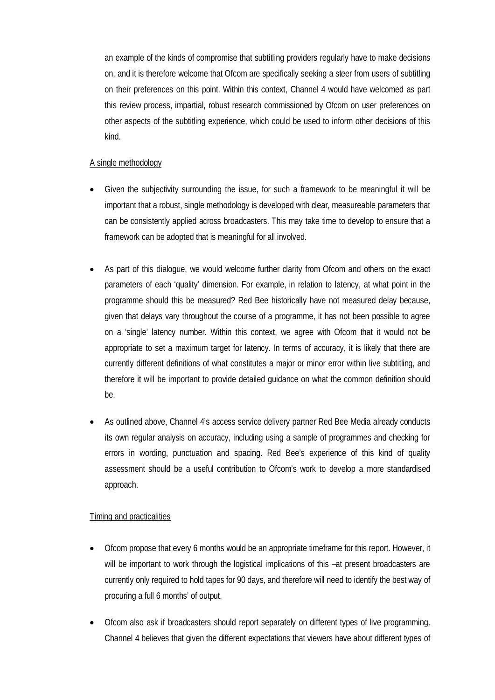an example of the kinds of compromise that subtitling providers regularly have to make decisions on, and it is therefore welcome that Ofcom are specifically seeking a steer from users of subtitling on their preferences on this point. Within this context, Channel 4 would have welcomed as part this review process, impartial, robust research commissioned by Ofcom on user preferences on other aspects of the subtitling experience, which could be used to inform other decisions of this kind.

## A single methodology

- Given the subjectivity surrounding the issue, for such a framework to be meaningful it will be important that a robust, single methodology is developed with clear, measureable parameters that can be consistently applied across broadcasters. This may take time to develop to ensure that a framework can be adopted that is meaningful for all involved.
- As part of this dialogue, we would welcome further clarity from Ofcom and others on the exact parameters of each 'quality' dimension. For example, in relation to latency, at what point in the programme should this be measured? Red Bee historically have not measured delay because, given that delays vary throughout the course of a programme, it has not been possible to agree on a 'single' latency number. Within this context, we agree with Ofcom that it would not be appropriate to set a maximum target for latency. In terms of accuracy, it is likely that there are currently different definitions of what constitutes a major or minor error within live subtitling, and therefore it will be important to provide detailed guidance on what the common definition should be.
- As outlined above, Channel 4's access service delivery partner Red Bee Media already conducts its own regular analysis on accuracy, including using a sample of programmes and checking for errors in wording, punctuation and spacing. Red Bee's experience of this kind of quality assessment should be a useful contribution to Ofcom's work to develop a more standardised approach.

## Timing and practicalities

- Ofcom propose that every 6 months would be an appropriate timeframe for this report. However, it will be important to work through the logistical implications of this –at present broadcasters are currently only required to hold tapes for 90 days, and therefore will need to identify the best way of procuring a full 6 months' of output.
- Ofcom also ask if broadcasters should report separately on different types of live programming. Channel 4 believes that given the different expectations that viewers have about different types of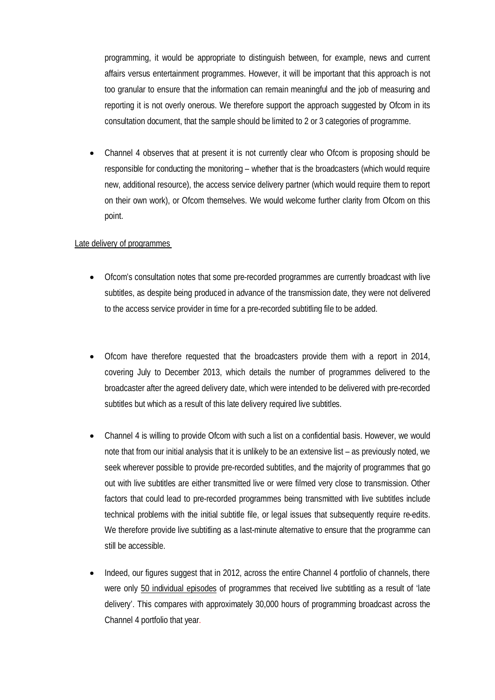programming, it would be appropriate to distinguish between, for example, news and current affairs versus entertainment programmes. However, it will be important that this approach is not too granular to ensure that the information can remain meaningful and the job of measuring and reporting it is not overly onerous. We therefore support the approach suggested by Ofcom in its consultation document, that the sample should be limited to 2 or 3 categories of programme.

• Channel 4 observes that at present it is not currently clear who Ofcom is proposing should be responsible for conducting the monitoring – whether that is the broadcasters (which would require new, additional resource), the access service delivery partner (which would require them to report on their own work), or Ofcom themselves. We would welcome further clarity from Ofcom on this point.

## Late delivery of programmes

- Ofcom's consultation notes that some pre-recorded programmes are currently broadcast with live subtitles, as despite being produced in advance of the transmission date, they were not delivered to the access service provider in time for a pre-recorded subtitling file to be added.
- Ofcom have therefore requested that the broadcasters provide them with a report in 2014, covering July to December 2013, which details the number of programmes delivered to the broadcaster after the agreed delivery date, which were intended to be delivered with pre-recorded subtitles but which as a result of this late delivery required live subtitles.
- Channel 4 is willing to provide Ofcom with such a list on a confidential basis. However, we would note that from our initial analysis that it is unlikely to be an extensive list – as previously noted, we seek wherever possible to provide pre-recorded subtitles, and the majority of programmes that go out with live subtitles are either transmitted live or were filmed very close to transmission. Other factors that could lead to pre-recorded programmes being transmitted with live subtitles include technical problems with the initial subtitle file, or legal issues that subsequently require re-edits. We therefore provide live subtitling as a last-minute alternative to ensure that the programme can still be accessible.
- Indeed, our figures suggest that in 2012, across the entire Channel 4 portfolio of channels, there were only 50 individual episodes of programmes that received live subtitling as a result of 'late delivery'. This compares with approximately 30,000 hours of programming broadcast across the Channel 4 portfolio that year.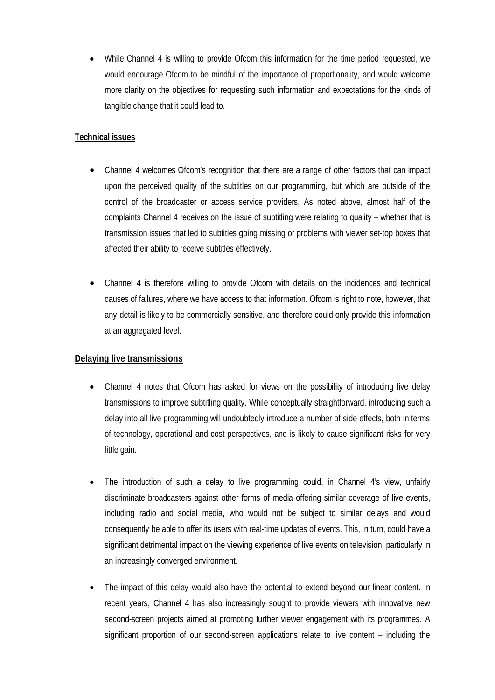• While Channel 4 is willing to provide Ofcom this information for the time period requested, we would encourage Ofcom to be mindful of the importance of proportionality, and would welcome more clarity on the objectives for requesting such information and expectations for the kinds of tangible change that it could lead to.

# **Technical issues**

- Channel 4 welcomes Ofcom's recognition that there are a range of other factors that can impact upon the perceived quality of the subtitles on our programming, but which are outside of the control of the broadcaster or access service providers. As noted above, almost half of the complaints Channel 4 receives on the issue of subtitling were relating to quality – whether that is transmission issues that led to subtitles going missing or problems with viewer set-top boxes that affected their ability to receive subtitles effectively.
- Channel 4 is therefore willing to provide Ofcom with details on the incidences and technical causes of failures, where we have access to that information. Ofcom is right to note, however, that any detail is likely to be commercially sensitive, and therefore could only provide this information at an aggregated level.

# **Delaying live transmissions**

- Channel 4 notes that Ofcom has asked for views on the possibility of introducing live delay transmissions to improve subtitling quality. While conceptually straightforward, introducing such a delay into all live programming will undoubtedly introduce a number of side effects, both in terms of technology, operational and cost perspectives, and is likely to cause significant risks for very little gain.
- The introduction of such a delay to live programming could, in Channel 4's view, unfairly discriminate broadcasters against other forms of media offering similar coverage of live events, including radio and social media, who would not be subject to similar delays and would consequently be able to offer its users with real-time updates of events. This, in turn, could have a significant detrimental impact on the viewing experience of live events on television, particularly in an increasingly converged environment.
- The impact of this delay would also have the potential to extend beyond our linear content. In recent years, Channel 4 has also increasingly sought to provide viewers with innovative new second-screen projects aimed at promoting further viewer engagement with its programmes. A significant proportion of our second-screen applications relate to live content – including the